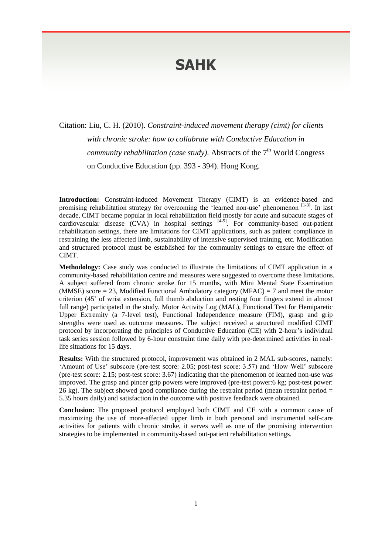## **SAHK**

Citation: Liu, C. H. (2010). *Constraint-induced movement therapy (cimt) for clients with chronic stroke: how to collabrate with Conductive Education in*  community rehabilitation (case study). Abstracts of the 7<sup>th</sup> World Congress on Conductive Education (pp. 393 - 394). Hong Kong.

**Introduction:** Constraint-induced Movement Therapy (CIMT) is an evidence-based and promising rehabilitation strategy for overcoming the 'learned non-use' phenomenon  $[1-3]$ . In last decade, CIMT became popular in local rehabilitation field mostly for acute and subacute stages of cardiovascular disease  $(CVA)$  in hospital settings  $[4-5]$ . For community-based out-patient rehabilitation settings, there are limitations for CIMT applications, such as patient compliance in restraining the less affected limb, sustainability of intensive supervised training, etc. Modification and structured protocol must be established for the community settings to ensure the effect of CIMT.

**Methodology:** Case study was conducted to illustrate the limitations of CIMT application in a community-based rehabilitation centre and measures were suggested to overcome these limitations. A subject suffered from chronic stroke for 15 months, with Mini Mental State Examination (MMSE) score  $= 23$ , Modified Functional Ambulatory category (MFAC)  $= 7$  and meet the motor criterion (45˚ of wrist extension, full thumb abduction and resting four fingers extend in almost full range) participated in the study. Motor Activity Log (MAL), Functional Test for Hemiparetic Upper Extremity (a 7-level test), Functional Independence measure (FIM), grasp and grip strengths were used as outcome measures. The subject received a structured modified CIMT protocol by incorporating the principles of Conductive Education (CE) with 2-hour's individual task series session followed by 6-hour constraint time daily with pre-determined activities in reallife situations for 15 days.

**Results:** With the structured protocol, improvement was obtained in 2 MAL sub-scores, namely: 'Amount of Use' subscore (pre-test score: 2.05; post-test score: 3.57) and 'How Well' subscore (pre-test score: 2.15; post-test score: 3.67) indicating that the phenomenon of learned non-use was improved. The grasp and pincer grip powers were improved (pre-test power:6 kg; post-test power: 26 kg). The subject showed good compliance during the restraint period (mean restraint period = 5.35 hours daily) and satisfaction in the outcome with positive feedback were obtained.

**Conclusion:** The proposed protocol employed both CIMT and CE with a common cause of maximizing the use of more-affected upper limb in both personal and instrumental self-care activities for patients with chronic stroke, it serves well as one of the promising intervention strategies to be implemented in community-based out-patient rehabilitation settings.